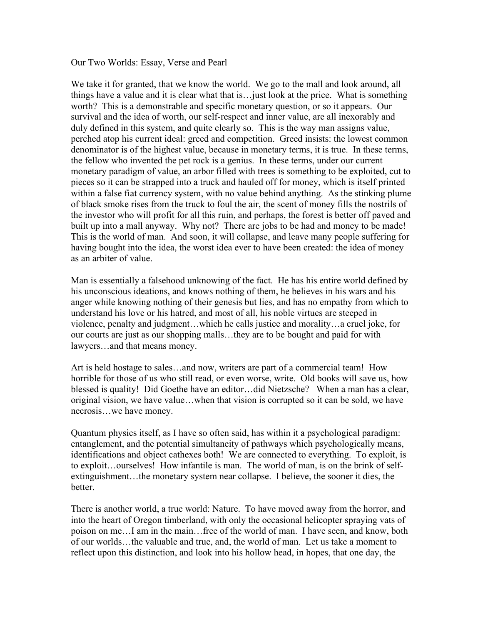Our Two Worlds: Essay, Verse and Pearl

We take it for granted, that we know the world. We go to the mall and look around, all things have a value and it is clear what that is…just look at the price. What is something worth? This is a demonstrable and specific monetary question, or so it appears. Our survival and the idea of worth, our self-respect and inner value, are all inexorably and duly defined in this system, and quite clearly so. This is the way man assigns value, perched atop his current ideal: greed and competition. Greed insists: the lowest common denominator is of the highest value, because in monetary terms, it is true. In these terms, the fellow who invented the pet rock is a genius. In these terms, under our current monetary paradigm of value, an arbor filled with trees is something to be exploited, cut to pieces so it can be strapped into a truck and hauled off for money, which is itself printed within a false fiat currency system, with no value behind anything. As the stinking plume of black smoke rises from the truck to foul the air, the scent of money fills the nostrils of the investor who will profit for all this ruin, and perhaps, the forest is better off paved and built up into a mall anyway. Why not? There are jobs to be had and money to be made! This is the world of man. And soon, it will collapse, and leave many people suffering for having bought into the idea, the worst idea ever to have been created: the idea of money as an arbiter of value.

Man is essentially a falsehood unknowing of the fact. He has his entire world defined by his unconscious ideations, and knows nothing of them, he believes in his wars and his anger while knowing nothing of their genesis but lies, and has no empathy from which to understand his love or his hatred, and most of all, his noble virtues are steeped in violence, penalty and judgment…which he calls justice and morality…a cruel joke, for our courts are just as our shopping malls…they are to be bought and paid for with lawyers…and that means money.

Art is held hostage to sales…and now, writers are part of a commercial team! How horrible for those of us who still read, or even worse, write. Old books will save us, how blessed is quality! Did Goethe have an editor…did Nietzsche? When a man has a clear, original vision, we have value…when that vision is corrupted so it can be sold, we have necrosis…we have money.

Quantum physics itself, as I have so often said, has within it a psychological paradigm: entanglement, and the potential simultaneity of pathways which psychologically means, identifications and object cathexes both! We are connected to everything. To exploit, is to exploit…ourselves! How infantile is man. The world of man, is on the brink of selfextinguishment…the monetary system near collapse. I believe, the sooner it dies, the better.

There is another world, a true world: Nature. To have moved away from the horror, and into the heart of Oregon timberland, with only the occasional helicopter spraying vats of poison on me…I am in the main…free of the world of man. I have seen, and know, both of our worlds…the valuable and true, and, the world of man. Let us take a moment to reflect upon this distinction, and look into his hollow head, in hopes, that one day, the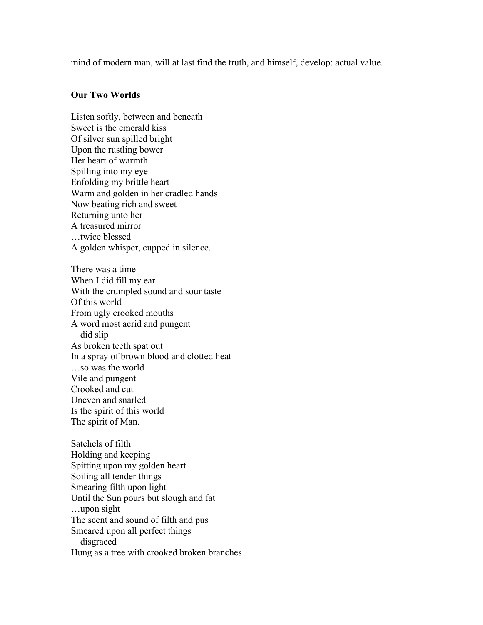mind of modern man, will at last find the truth, and himself, develop: actual value.

## **Our Two Worlds**

Listen softly, between and beneath Sweet is the emerald kiss Of silver sun spilled bright Upon the rustling bower Her heart of warmth Spilling into my eye Enfolding my brittle heart Warm and golden in her cradled hands Now beating rich and sweet Returning unto her A treasured mirror …twice blessed A golden whisper, cupped in silence. There was a time When I did fill my ear With the crumpled sound and sour taste

Of this world From ugly crooked mouths A word most acrid and pungent ––did slip As broken teeth spat out In a spray of brown blood and clotted heat …so was the world Vile and pungent Crooked and cut Uneven and snarled Is the spirit of this world The spirit of Man.

Satchels of filth Holding and keeping Spitting upon my golden heart Soiling all tender things Smearing filth upon light Until the Sun pours but slough and fat …upon sight The scent and sound of filth and pus Smeared upon all perfect things ––disgraced Hung as a tree with crooked broken branches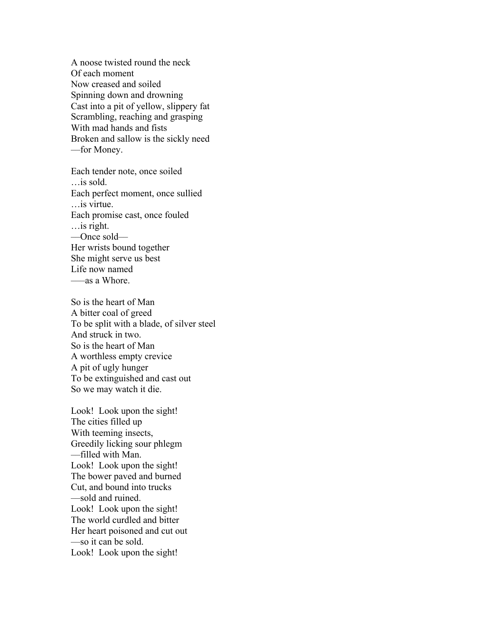A noose twisted round the neck Of each moment Now creased and soiled Spinning down and drowning Cast into a pit of yellow, slippery fat Scrambling, reaching and grasping With mad hands and fists Broken and sallow is the sickly need ––for Money.

Each tender note, once soiled …is sold. Each perfect moment, once sullied …is virtue. Each promise cast, once fouled …is right. ––Once sold–– Her wrists bound together She might serve us best Life now named –––as a Whore.

So is the heart of Man A bitter coal of greed To be split with a blade, of silver steel And struck in two. So is the heart of Man A worthless empty crevice A pit of ugly hunger To be extinguished and cast out So we may watch it die.

Look! Look upon the sight! The cities filled up With teeming insects, Greedily licking sour phlegm ––filled with Man. Look! Look upon the sight! The bower paved and burned Cut, and bound into trucks ––sold and ruined. Look! Look upon the sight! The world curdled and bitter Her heart poisoned and cut out ––so it can be sold. Look! Look upon the sight!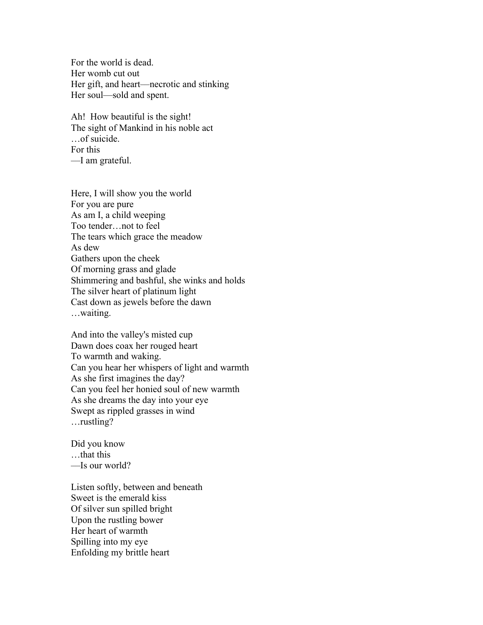For the world is dead. Her womb cut out Her gift, and heart––necrotic and stinking Her soul––sold and spent.

Ah! How beautiful is the sight! The sight of Mankind in his noble act …of suicide. For this ––I am grateful.

Here, I will show you the world For you are pure As am I, a child weeping Too tender…not to feel The tears which grace the meadow As dew Gathers upon the cheek Of morning grass and glade Shimmering and bashful, she winks and holds The silver heart of platinum light Cast down as jewels before the dawn …waiting.

And into the valley's misted cup Dawn does coax her rouged heart To warmth and waking. Can you hear her whispers of light and warmth As she first imagines the day? Can you feel her honied soul of new warmth As she dreams the day into your eye Swept as rippled grasses in wind …rustling?

Did you know …that this ––Is our world?

Listen softly, between and beneath Sweet is the emerald kiss Of silver sun spilled bright Upon the rustling bower Her heart of warmth Spilling into my eye Enfolding my brittle heart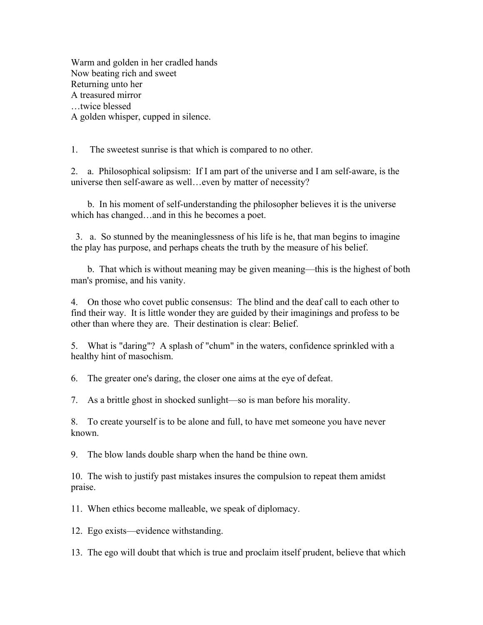Warm and golden in her cradled hands Now beating rich and sweet Returning unto her A treasured mirror …twice blessed A golden whisper, cupped in silence.

1. The sweetest sunrise is that which is compared to no other.

2. a. Philosophical solipsism: If I am part of the universe and I am self-aware, is the universe then self-aware as well…even by matter of necessity?

 b. In his moment of self-understanding the philosopher believes it is the universe which has changed…and in this he becomes a poet.

 3. a. So stunned by the meaninglessness of his life is he, that man begins to imagine the play has purpose, and perhaps cheats the truth by the measure of his belief.

 b. That which is without meaning may be given meaning––this is the highest of both man's promise, and his vanity.

4. On those who covet public consensus: The blind and the deaf call to each other to find their way. It is little wonder they are guided by their imaginings and profess to be other than where they are. Their destination is clear: Belief.

5. What is "daring"? A splash of "chum" in the waters, confidence sprinkled with a healthy hint of masochism.

6. The greater one's daring, the closer one aims at the eye of defeat.

7. As a brittle ghost in shocked sunlight––so is man before his morality.

8. To create yourself is to be alone and full, to have met someone you have never known.

9. The blow lands double sharp when the hand be thine own.

10. The wish to justify past mistakes insures the compulsion to repeat them amidst praise.

11. When ethics become malleable, we speak of diplomacy.

12. Ego exists––evidence withstanding.

13. The ego will doubt that which is true and proclaim itself prudent, believe that which